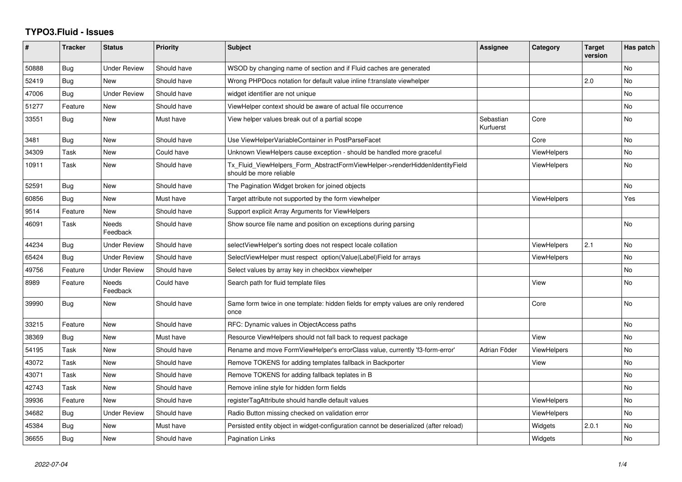## **TYPO3.Fluid - Issues**

| #     | <b>Tracker</b> | <b>Status</b>       | <b>Priority</b> | <b>Subject</b>                                                                                         | Assignee               | Category           | <b>Target</b><br>version | Has patch      |
|-------|----------------|---------------------|-----------------|--------------------------------------------------------------------------------------------------------|------------------------|--------------------|--------------------------|----------------|
| 50888 | <b>Bug</b>     | <b>Under Review</b> | Should have     | WSOD by changing name of section and if Fluid caches are generated                                     |                        |                    |                          | <b>No</b>      |
| 52419 | <b>Bug</b>     | New                 | Should have     | Wrong PHPDocs notation for default value inline f:translate viewhelper                                 |                        |                    | 2.0                      | <b>No</b>      |
| 47006 | Bug            | <b>Under Review</b> | Should have     | widget identifier are not unique                                                                       |                        |                    |                          | <b>No</b>      |
| 51277 | Feature        | New                 | Should have     | ViewHelper context should be aware of actual file occurrence                                           |                        |                    |                          | <b>No</b>      |
| 33551 | Bug            | New                 | Must have       | View helper values break out of a partial scope                                                        | Sebastian<br>Kurfuerst | Core               |                          | No             |
| 3481  | Bug            | New                 | Should have     | Use ViewHelperVariableContainer in PostParseFacet                                                      |                        | Core               |                          | <b>No</b>      |
| 34309 | Task           | New                 | Could have      | Unknown ViewHelpers cause exception - should be handled more graceful                                  |                        | ViewHelpers        |                          | <b>No</b>      |
| 10911 | Task           | New                 | Should have     | Tx_Fluid_ViewHelpers_Form_AbstractFormViewHelper->renderHiddenIdentityField<br>should be more reliable |                        | <b>ViewHelpers</b> |                          | <b>No</b>      |
| 52591 | <b>Bug</b>     | New                 | Should have     | The Pagination Widget broken for joined objects                                                        |                        |                    |                          | <b>No</b>      |
| 60856 | Bug            | New                 | Must have       | Target attribute not supported by the form viewhelper                                                  |                        | <b>ViewHelpers</b> |                          | Yes            |
| 9514  | Feature        | <b>New</b>          | Should have     | Support explicit Array Arguments for ViewHelpers                                                       |                        |                    |                          |                |
| 46091 | Task           | Needs<br>Feedback   | Should have     | Show source file name and position on exceptions during parsing                                        |                        |                    |                          | No.            |
| 44234 | <b>Bug</b>     | <b>Under Review</b> | Should have     | selectViewHelper's sorting does not respect locale collation                                           |                        | <b>ViewHelpers</b> | 2.1                      | <b>No</b>      |
| 65424 | Bug            | <b>Under Review</b> | Should have     | SelectViewHelper must respect option(Value Label)Field for arrays                                      |                        | ViewHelpers        |                          | <b>No</b>      |
| 49756 | Feature        | <b>Under Review</b> | Should have     | Select values by array key in checkbox viewhelper                                                      |                        |                    |                          | No.            |
| 8989  | Feature        | Needs<br>Feedback   | Could have      | Search path for fluid template files                                                                   |                        | View               |                          | <b>No</b>      |
| 39990 | <b>Bug</b>     | <b>New</b>          | Should have     | Same form twice in one template: hidden fields for empty values are only rendered<br>once              |                        | Core               |                          | <b>No</b>      |
| 33215 | Feature        | New                 | Should have     | RFC: Dynamic values in ObjectAccess paths                                                              |                        |                    |                          | <b>No</b>      |
| 38369 | <b>Bug</b>     | New                 | Must have       | Resource ViewHelpers should not fall back to request package                                           |                        | View               |                          | No             |
| 54195 | Task           | New                 | Should have     | Rename and move FormViewHelper's errorClass value, currently 'f3-form-error'                           | Adrian Föder           | ViewHelpers        |                          | No.            |
| 43072 | Task           | New                 | Should have     | Remove TOKENS for adding templates fallback in Backporter                                              |                        | View               |                          | <b>No</b>      |
| 43071 | Task           | New                 | Should have     | Remove TOKENS for adding fallback teplates in B                                                        |                        |                    |                          | No             |
| 42743 | Task           | New                 | Should have     | Remove inline style for hidden form fields                                                             |                        |                    |                          | N <sub>o</sub> |
| 39936 | Feature        | <b>New</b>          | Should have     | registerTagAttribute should handle default values                                                      |                        | <b>ViewHelpers</b> |                          | No             |
| 34682 | Bug            | <b>Under Review</b> | Should have     | Radio Button missing checked on validation error                                                       |                        | <b>ViewHelpers</b> |                          | <b>No</b>      |
| 45384 | <b>Bug</b>     | New                 | Must have       | Persisted entity object in widget-configuration cannot be deserialized (after reload)                  |                        | Widgets            | 2.0.1                    | <b>No</b>      |
| 36655 | <b>Bug</b>     | <b>New</b>          | Should have     | <b>Pagination Links</b>                                                                                |                        | Widgets            |                          | No.            |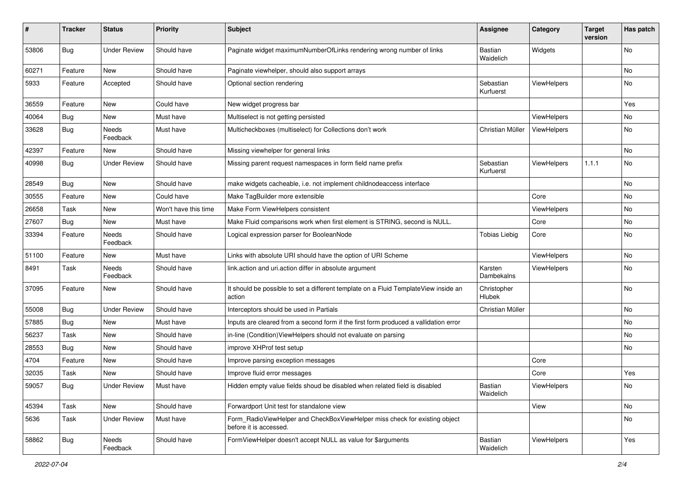| #     | <b>Tracker</b> | <b>Status</b>       | <b>Priority</b>      | <b>Subject</b>                                                                                       | <b>Assignee</b>              | Category           | <b>Target</b><br>version | Has patch |
|-------|----------------|---------------------|----------------------|------------------------------------------------------------------------------------------------------|------------------------------|--------------------|--------------------------|-----------|
| 53806 | Bug            | <b>Under Review</b> | Should have          | Paginate widget maximumNumberOfLinks rendering wrong number of links                                 | <b>Bastian</b><br>Waidelich  | Widgets            |                          | No        |
| 60271 | Feature        | New                 | Should have          | Paginate viewhelper, should also support arrays                                                      |                              |                    |                          | No        |
| 5933  | Feature        | Accepted            | Should have          | Optional section rendering                                                                           | Sebastian<br>Kurfuerst       | ViewHelpers        |                          | No        |
| 36559 | Feature        | New                 | Could have           | New widget progress bar                                                                              |                              |                    |                          | Yes       |
| 40064 | <b>Bug</b>     | New                 | Must have            | Multiselect is not getting persisted                                                                 |                              | ViewHelpers        |                          | No        |
| 33628 | Bug            | Needs<br>Feedback   | Must have            | Multicheckboxes (multiselect) for Collections don't work                                             | Christian Müller             | <b>ViewHelpers</b> |                          | No        |
| 42397 | Feature        | New                 | Should have          | Missing viewhelper for general links                                                                 |                              |                    |                          | No        |
| 40998 | Bug            | <b>Under Review</b> | Should have          | Missing parent request namespaces in form field name prefix                                          | Sebastian<br>Kurfuerst       | ViewHelpers        | 1.1.1                    | No        |
| 28549 | Bug            | New                 | Should have          | make widgets cacheable, i.e. not implement childnodeaccess interface                                 |                              |                    |                          | No        |
| 30555 | Feature        | New                 | Could have           | Make TagBuilder more extensible                                                                      |                              | Core               |                          | No        |
| 26658 | Task           | New                 | Won't have this time | Make Form ViewHelpers consistent                                                                     |                              | ViewHelpers        |                          | No        |
| 27607 | Bug            | New                 | Must have            | Make Fluid comparisons work when first element is STRING, second is NULL.                            |                              | Core               |                          | No        |
| 33394 | Feature        | Needs<br>Feedback   | Should have          | Logical expression parser for BooleanNode                                                            | <b>Tobias Liebig</b>         | Core               |                          | No        |
| 51100 | Feature        | New                 | Must have            | Links with absolute URI should have the option of URI Scheme                                         |                              | ViewHelpers        |                          | No        |
| 8491  | Task           | Needs<br>Feedback   | Should have          | link.action and uri.action differ in absolute argument                                               | Karsten<br>Dambekalns        | ViewHelpers        |                          | No        |
| 37095 | Feature        | New                 | Should have          | It should be possible to set a different template on a Fluid TemplateView inside an<br>action        | Christopher<br><b>Hlubek</b> |                    |                          | No        |
| 55008 | <b>Bug</b>     | <b>Under Review</b> | Should have          | Interceptors should be used in Partials                                                              | Christian Müller             |                    |                          | No        |
| 57885 | Bug            | New                 | Must have            | Inputs are cleared from a second form if the first form produced a vallidation error                 |                              |                    |                          | No        |
| 56237 | Task           | New                 | Should have          | in-line (Condition) View Helpers should not evaluate on parsing                                      |                              |                    |                          | No        |
| 28553 | Bug            | New                 | Should have          | improve XHProf test setup                                                                            |                              |                    |                          | No        |
| 4704  | Feature        | New                 | Should have          | Improve parsing exception messages                                                                   |                              | Core               |                          |           |
| 32035 | Task           | New                 | Should have          | Improve fluid error messages                                                                         |                              | Core               |                          | Yes       |
| 59057 | <b>Bug</b>     | <b>Under Review</b> | Must have            | Hidden empty value fields shoud be disabled when related field is disabled                           | Bastian<br>Waidelich         | ViewHelpers        |                          | No        |
| 45394 | Task           | New                 | Should have          | Forwardport Unit test for standalone view                                                            |                              | View               |                          | No        |
| 5636  | Task           | <b>Under Review</b> | Must have            | Form_RadioViewHelper and CheckBoxViewHelper miss check for existing object<br>before it is accessed. |                              |                    |                          | No        |
| 58862 | Bug            | Needs<br>Feedback   | Should have          | FormViewHelper doesn't accept NULL as value for \$arguments                                          | Bastian<br>Waidelich         | ViewHelpers        |                          | Yes       |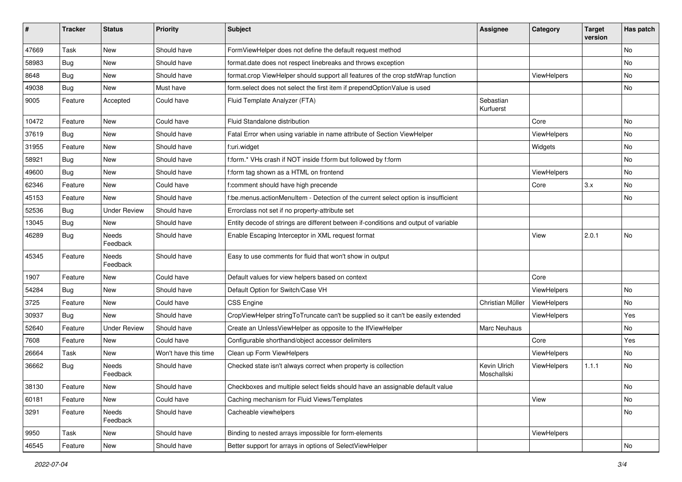| ∦     | <b>Tracker</b> | <b>Status</b>            | <b>Priority</b>      | <b>Subject</b>                                                                      | <b>Assignee</b>             | Category    | <b>Target</b><br>version | Has patch |
|-------|----------------|--------------------------|----------------------|-------------------------------------------------------------------------------------|-----------------------------|-------------|--------------------------|-----------|
| 47669 | Task           | New                      | Should have          | FormViewHelper does not define the default request method                           |                             |             |                          | No        |
| 58983 | Bug            | New                      | Should have          | format.date does not respect linebreaks and throws exception                        |                             |             |                          | No        |
| 8648  | <b>Bug</b>     | New                      | Should have          | format.crop ViewHelper should support all features of the crop stdWrap function     |                             | ViewHelpers |                          | No        |
| 49038 | Bug            | New                      | Must have            | form.select does not select the first item if prependOptionValue is used            |                             |             |                          | No        |
| 9005  | Feature        | Accepted                 | Could have           | Fluid Template Analyzer (FTA)                                                       | Sebastian<br>Kurfuerst      |             |                          |           |
| 10472 | Feature        | New                      | Could have           | Fluid Standalone distribution                                                       |                             | Core        |                          | No        |
| 37619 | Bug            | New                      | Should have          | Fatal Error when using variable in name attribute of Section ViewHelper             |                             | ViewHelpers |                          | No        |
| 31955 | Feature        | <b>New</b>               | Should have          | f:uri.widget                                                                        |                             | Widgets     |                          | No        |
| 58921 | Bug            | New                      | Should have          | f:form.* VHs crash if NOT inside f:form but followed by f:form                      |                             |             |                          | No        |
| 49600 | Bug            | New                      | Should have          | f:form tag shown as a HTML on frontend                                              |                             | ViewHelpers |                          | No.       |
| 62346 | Feature        | New                      | Could have           | f:comment should have high precende                                                 |                             | Core        | 3.x                      | No        |
| 45153 | Feature        | New                      | Should have          | f:be.menus.actionMenuItem - Detection of the current select option is insufficient  |                             |             |                          | No        |
| 52536 | Bug            | <b>Under Review</b>      | Should have          | Errorclass not set if no property-attribute set                                     |                             |             |                          |           |
| 13045 | Bug            | New                      | Should have          | Entity decode of strings are different between if-conditions and output of variable |                             |             |                          |           |
| 46289 | Bug            | Needs<br>Feedback        | Should have          | Enable Escaping Interceptor in XML request format                                   |                             | View        | 2.0.1                    | No        |
| 45345 | Feature        | Needs<br>Feedback        | Should have          | Easy to use comments for fluid that won't show in output                            |                             |             |                          |           |
| 1907  | Feature        | New                      | Could have           | Default values for view helpers based on context                                    |                             | Core        |                          |           |
| 54284 | Bug            | New                      | Should have          | Default Option for Switch/Case VH                                                   |                             | ViewHelpers |                          | No        |
| 3725  | Feature        | New                      | Could have           | CSS Engine                                                                          | Christian Müller            | ViewHelpers |                          | No        |
| 30937 | Bug            | <b>New</b>               | Should have          | CropViewHelper stringToTruncate can't be supplied so it can't be easily extended    |                             | ViewHelpers |                          | Yes       |
| 52640 | Feature        | <b>Under Review</b>      | Should have          | Create an UnlessViewHelper as opposite to the IfViewHelper                          | Marc Neuhaus                |             |                          | No        |
| 7608  | Feature        | New                      | Could have           | Configurable shorthand/object accessor delimiters                                   |                             | Core        |                          | Yes       |
| 26664 | Task           | New                      | Won't have this time | Clean up Form ViewHelpers                                                           |                             | ViewHelpers |                          | No        |
| 36662 | Bug            | <b>Needs</b><br>Feedback | Should have          | Checked state isn't always correct when property is collection                      | Kevin Ulrich<br>Moschallski | ViewHelpers | 1.1.1                    | No        |
| 38130 | Feature        | New                      | Should have          | Checkboxes and multiple select fields should have an assignable default value       |                             |             |                          | No        |
| 60181 | Feature        | New                      | Could have           | Caching mechanism for Fluid Views/Templates                                         |                             | View        |                          | No        |
| 3291  | Feature        | Needs<br>Feedback        | Should have          | Cacheable viewhelpers                                                               |                             |             |                          | No        |
| 9950  | Task           | New                      | Should have          | Binding to nested arrays impossible for form-elements                               |                             | ViewHelpers |                          |           |
| 46545 | Feature        | New                      | Should have          | Better support for arrays in options of SelectViewHelper                            |                             |             |                          | No        |